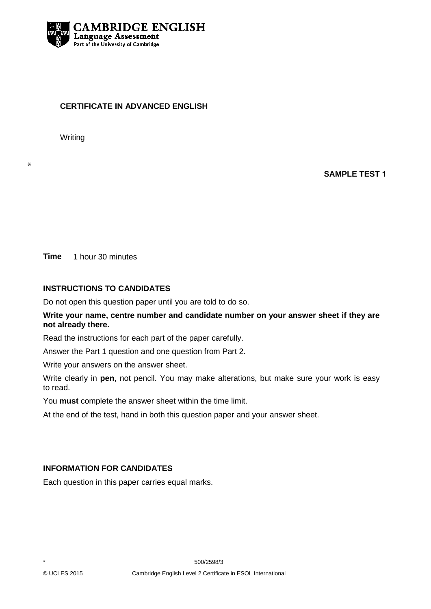

## **CERTIFICATE IN ADVANCED ENGLISH**

Writing

∗

**SAMPLE TEST 1**

**Time** 1 hour 30 minutes

## **INSTRUCTIONS TO CANDIDATES**

Do not open this question paper until you are told to do so.

## **Write your name, centre number and candidate number on your answer sheet if they are not already there.**

Read the instructions for each part of the paper carefully.

Answer the Part 1 question and one question from Part 2.

Write your answers on the answer sheet.

Write clearly in **pen**, not pencil. You may make alterations, but make sure your work is easy to read.

You **must** complete the answer sheet within the time limit.

At the end of the test, hand in both this question paper and your answer sheet.

# **INFORMATION FOR CANDIDATES**

Each question in this paper carries equal marks.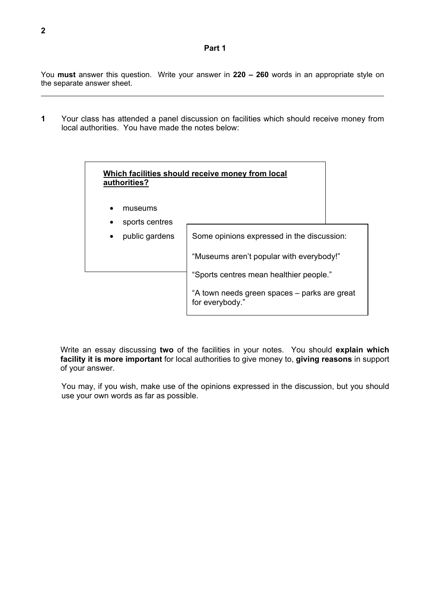#### **Part 1**

You **must** answer this question. Write your answer in **220 – 260** words in an appropriate style on the separate answer sheet.

**1** Your class has attended a panel discussion on facilities which should receive money from local authorities. You have made the notes below:



Write an essay discussing **two** of the facilities in your notes. You should **explain which facility it is more important** for local authorities to give money to, **giving reasons** in support of your answer.

You may, if you wish, make use of the opinions expressed in the discussion, but you should use your own words as far as possible.